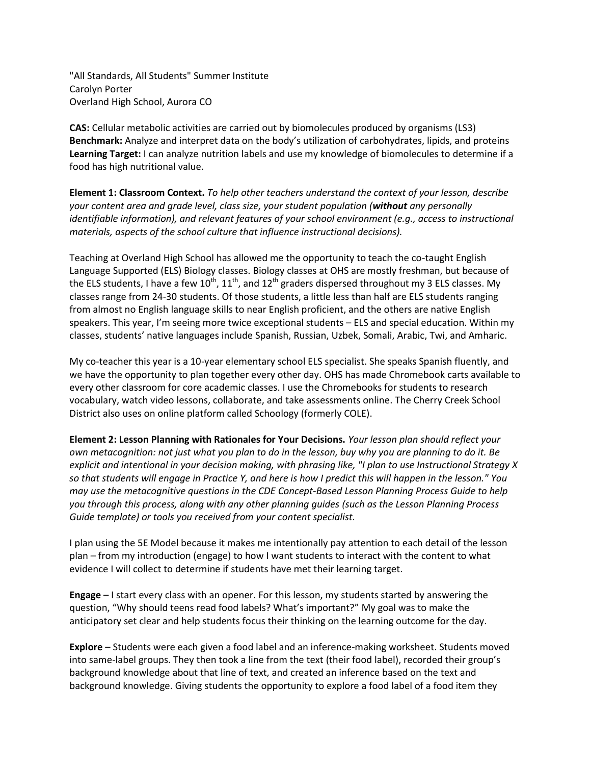"All Standards, All Students" Summer Institute Carolyn Porter Overland High School, Aurora CO

**CAS:** Cellular metabolic activities are carried out by biomolecules produced by organisms (LS3) **Benchmark:** Analyze and interpret data on the body's utilization of carbohydrates, lipids, and proteins **Learning Target:** I can analyze nutrition labels and use my knowledge of biomolecules to determine if a food has high nutritional value.

**Element 1: Classroom Context.** *To help other teachers understand the context of your lesson, describe your content area and grade level, class size, your student population (without any personally identifiable information), and relevant features of your school environment (e.g., access to instructional materials, aspects of the school culture that influence instructional decisions).*

Teaching at Overland High School has allowed me the opportunity to teach the co-taught English Language Supported (ELS) Biology classes. Biology classes at OHS are mostly freshman, but because of the ELS students, I have a few 10<sup>th</sup>, 11<sup>th</sup>, and 12<sup>th</sup> graders dispersed throughout my 3 ELS classes. My classes range from 24-30 students. Of those students, a little less than half are ELS students ranging from almost no English language skills to near English proficient, and the others are native English speakers. This year, I'm seeing more twice exceptional students – ELS and special education. Within my classes, students' native languages include Spanish, Russian, Uzbek, Somali, Arabic, Twi, and Amharic.

My co-teacher this year is a 10-year elementary school ELS specialist. She speaks Spanish fluently, and we have the opportunity to plan together every other day. OHS has made Chromebook carts available to every other classroom for core academic classes. I use the Chromebooks for students to research vocabulary, watch video lessons, collaborate, and take assessments online. The Cherry Creek School District also uses on online platform called Schoology (formerly COLE).

**Element 2: Lesson Planning with Rationales for Your Decisions.** *Your lesson plan should reflect your own metacognition: not just what you plan to do in the lesson, buy why you are planning to do it. Be explicit and intentional in your decision making, with phrasing like, "I plan to use Instructional Strategy X so that students will engage in Practice Y, and here is how I predict this will happen in the lesson." You may use the metacognitive questions in the CDE Concept-Based Lesson Planning Process Guide to help you through this process, along with any other planning guides (such as the Lesson Planning Process Guide template) or tools you received from your content specialist.*

I plan using the 5E Model because it makes me intentionally pay attention to each detail of the lesson plan – from my introduction (engage) to how I want students to interact with the content to what evidence I will collect to determine if students have met their learning target.

**Engage** – I start every class with an opener. For this lesson, my students started by answering the question, "Why should teens read food labels? What's important?" My goal was to make the anticipatory set clear and help students focus their thinking on the learning outcome for the day.

**Explore** – Students were each given a food label and an inference-making worksheet. Students moved into same-label groups. They then took a line from the text (their food label), recorded their group's background knowledge about that line of text, and created an inference based on the text and background knowledge. Giving students the opportunity to explore a food label of a food item they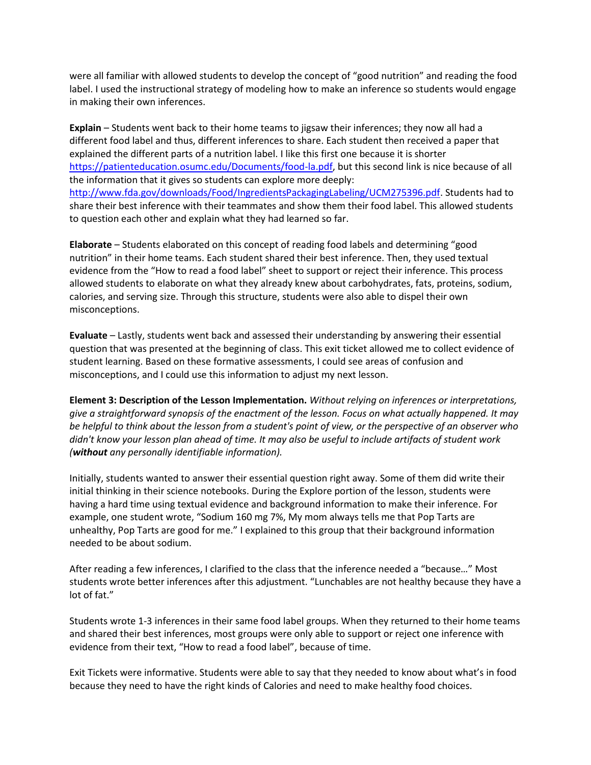were all familiar with allowed students to develop the concept of "good nutrition" and reading the food label. I used the instructional strategy of modeling how to make an inference so students would engage in making their own inferences.

**Explain** – Students went back to their home teams to jigsaw their inferences; they now all had a different food label and thus, different inferences to share. Each student then received a paper that explained the different parts of a nutrition label. I like this first one because it is shorter [https://patienteducation.osumc.edu/Documents/food-la.pdf,](https://patienteducation.osumc.edu/Documents/food-la.pdf) but this second link is nice because of all the information that it gives so students can explore more deeply: [http://www.fda.gov/downloads/Food/IngredientsPackagingLabeling/UCM275396.pdf.](http://www.fda.gov/downloads/Food/IngredientsPackagingLabeling/UCM275396.pdf) Students had to share their best inference with their teammates and show them their food label. This allowed students to question each other and explain what they had learned so far.

**Elaborate** – Students elaborated on this concept of reading food labels and determining "good nutrition" in their home teams. Each student shared their best inference. Then, they used textual evidence from the "How to read a food label" sheet to support or reject their inference. This process allowed students to elaborate on what they already knew about carbohydrates, fats, proteins, sodium, calories, and serving size. Through this structure, students were also able to dispel their own misconceptions.

**Evaluate** – Lastly, students went back and assessed their understanding by answering their essential question that was presented at the beginning of class. This exit ticket allowed me to collect evidence of student learning. Based on these formative assessments, I could see areas of confusion and misconceptions, and I could use this information to adjust my next lesson.

**Element 3: Description of the Lesson Implementation.** *Without relying on inferences or interpretations, give a straightforward synopsis of the enactment of the lesson. Focus on what actually happened. It may be helpful to think about the lesson from a student's point of view, or the perspective of an observer who didn't know your lesson plan ahead of time. It may also be useful to include artifacts of student work (without any personally identifiable information).*

Initially, students wanted to answer their essential question right away. Some of them did write their initial thinking in their science notebooks. During the Explore portion of the lesson, students were having a hard time using textual evidence and background information to make their inference. For example, one student wrote, "Sodium 160 mg 7%, My mom always tells me that Pop Tarts are unhealthy, Pop Tarts are good for me." I explained to this group that their background information needed to be about sodium.

After reading a few inferences, I clarified to the class that the inference needed a "because…" Most students wrote better inferences after this adjustment. "Lunchables are not healthy because they have a lot of fat."

Students wrote 1-3 inferences in their same food label groups. When they returned to their home teams and shared their best inferences, most groups were only able to support or reject one inference with evidence from their text, "How to read a food label", because of time.

Exit Tickets were informative. Students were able to say that they needed to know about what's in food because they need to have the right kinds of Calories and need to make healthy food choices.